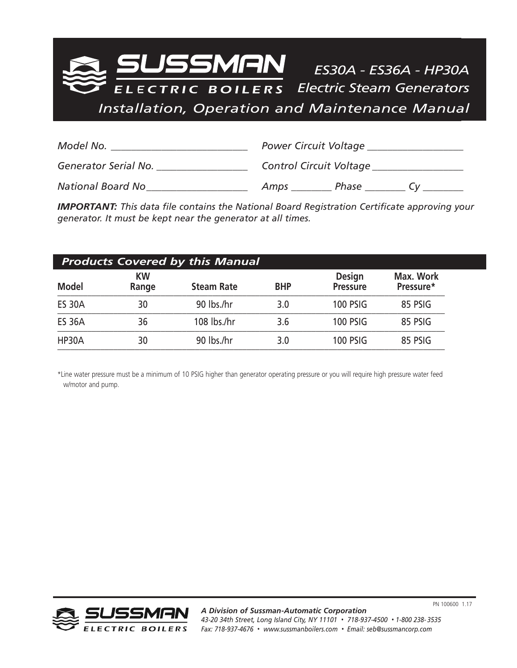

| Model No.                | <b>Power Circuit Voltage</b>   |
|--------------------------|--------------------------------|
| Generator Serial No.     | <b>Control Circuit Voltage</b> |
| <b>National Board No</b> | <i>Phase</i><br>Amps           |

*IMPORTANT: This data file contains the National Board Registration Certificate approving your generator. It must be kept near the generator at all times.*

| <b>Products Covered by this Manual</b> |                    |                   |            |                                  |                        |
|----------------------------------------|--------------------|-------------------|------------|----------------------------------|------------------------|
| <b>Model</b>                           | <b>KW</b><br>Range | <b>Steam Rate</b> | <b>BHP</b> | <b>Design</b><br><b>Pressure</b> | Max. Work<br>Pressure* |
| <b>ES 30A</b>                          | 30                 | 90 lbs./hr        | 3.0        | <b>100 PSIG</b>                  | 85 PSIG                |
| <b>ES 36A</b>                          | 36                 | 108 lbs./hr       | 3.6        | <b>100 PSIG</b>                  | 85 PSIG                |
| HP30A                                  | 30                 | 90 lbs./hr        | 3.0        | <b>100 PSIG</b>                  | 85 PSIG                |

\*Line water pressure must be a minimum of 10 PSIG higher than generator operating pressure or you will require high pressure water feed w/motor and pump.

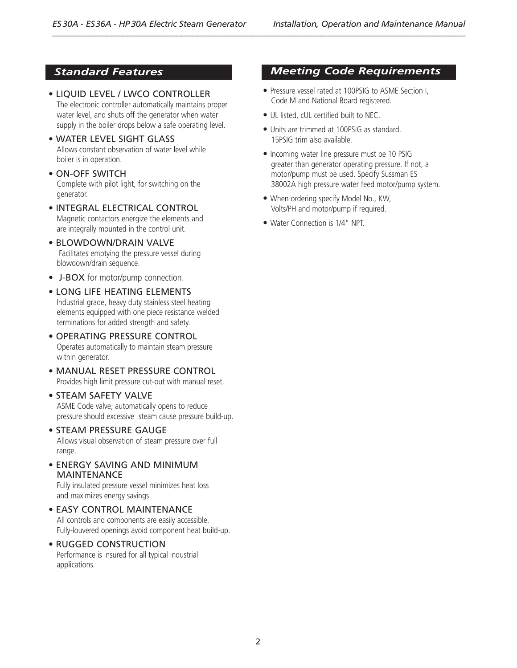- LIQUID LEVEL / LWCO CONTROLLER The electronic controller automatically maintains proper water level, and shuts off the generator when water supply in the boiler drops below a safe operating level.
- WATER LEVEL SIGHT GLASS Allows constant observation of water level while boiler is in operation.
- ON-OFF SWITCH Complete with pilot light, for switching on the generator.
- INTEGRAL ELECTRICAL CONTROL Magnetic contactors energize the elements and are integrally mounted in the control unit.
- BLOWDOWN/DRAIN VALVE Facilitates emptying the pressure vessel during blowdown/drain sequence.
- J-BOX for motor/pump connection.
- LONG LIFE HEATING ELEMENTS Industrial grade, heavy duty stainless steel heating elements equipped with one piece resistance welded terminations for added strength and safety.
- OPERATING PRESSURE CONTROL Operates automatically to maintain steam pressure within generator.
- MANUAL RESET PRESSURE CONTROL Provides high limit pressure cut-out with manual reset.
- STEAM SAFETY VALVE

ASME Code valve, automatically opens to reduce pressure should excessive steam cause pressure build-up.

- STEAM PRESSURE GAUGE Allows visual observation of steam pressure over full range.
- ENERGY SAVING AND MINIMUM MAINTENANCE

Fully insulated pressure vessel minimizes heat loss and maximizes energy savings.

• EASY CONTROL MAINTENANCE All controls and components are easily accessible. Fully-louvered openings avoid component heat build-up.

### • RUGGED CONSTRUCTION Performance is insured for all typical industrial applications.

# *Standard Features Meeting Code Requirements*

- Pressure vessel rated at 100PSIG to ASME Section I, Code M and National Board registered.
- UL listed, cUL certified built to NEC.
- Units are trimmed at 100PSIG as standard. 15PSIG trim also available.
- Incoming water line pressure must be 10 PSIG greater than generator operating pressure. If not, a motor/pump must be used. Specify Sussman ES 38002A high pressure water feed motor/pump system.
- When ordering specify Model No., KW, Volts/PH and motor/pump if required.
- Water Connection is 1/4" NPT.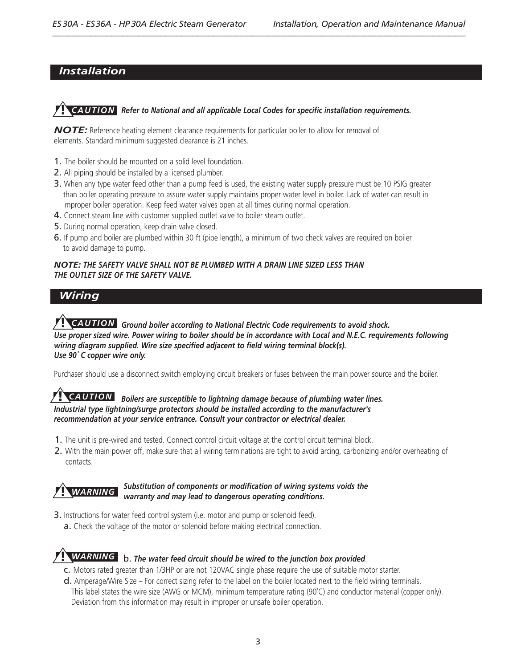# *Installation*

# *Refer to National and all applicable Local Codes for specific installation requirements.* **!** *CAUTION*

*NOTE:* Reference heating element clearance requirements for particular boiler to allow for removal of elements. Standard minimum suggested clearance is 21 inches.

- 1. The boiler should be mounted on a solid level foundation.
- 2. All piping should be installed by a licensed plumber.
- 3. When any type water feed other than a pump feed is used, the existing water supply pressure must be 10 PSIG greater than boiler operating pressure to assure water supply maintains proper water level in boiler. Lack of water can result in improper boiler operation. Keep feed water valves open at all times during normal operation.
- 4. Connect steam line with customer supplied outlet valve to boiler steam outlet.
- 5. During normal operation, keep drain valve closed.
- 6. If pump and boiler are plumbed within 30 ft (pipe length), a minimum of two check valves are required on boiler to avoid damage to pump.

#### *NOTE: THE SAFETY VALVE SHALL NOT BE PLUMBED WITH A DRAIN LINE SIZED LESS THAN THE OUTLET SIZE OF THE SAFETY VALVE.*

## *Wiring*

#### *Ground boiler according to National Electric Code requirements to avoid shock.* **!** *CAUTION* Use proper sized wire. Power wiring to boiler should be in accordance with Local and N.E.C. requirements following *wiring diagram supplied. Wire size specified adjacent to field wiring terminal block(s). Use 90˚ C copper wire only.*

Purchaser should use a disconnect switch employing circuit breakers or fuses between the main power source and the boiler.

#### *Boilers are susceptible to lightning damage because of plumbing water lines.* **!** *CAUTION Industrial type lightning/surge protectors should be installed according to the manufacturer's recommendation at your service entrance. Consult your contractor or electrical dealer.*

- 1. The unit is pre-wired and tested. Connect control circuit voltage at the control circuit terminal block.
- 2. With the main power off, make sure that all wiring terminations are tight to avoid arcing, carbonizing and/or overheating of contacts.



#### *Substitution of components or modification of wiring systems voids the warranty and may lead to dangerous operating conditions.*

- 3. Instructions for water feed control system (i.e. motor and pump or solenoid feed).
	- a. Check the voltage of the motor or solenoid before making electrical connection.

# b. *The water feed circuit should be wired to the junction box provided*. **!** *WARNING*

- c. Motors rated greater than 1/3HP or are not 120VAC single phase require the use of suitable motor starter.
- d. Amperage/Wire Size For correct sizing refer to the label on the boiler located next to the field wiring terminals. This label states the wire size (AWG or MCM), minimum temperature rating (90˚C) and conductor material (copper only). Deviation from this information may result in improper or unsafe boiler operation.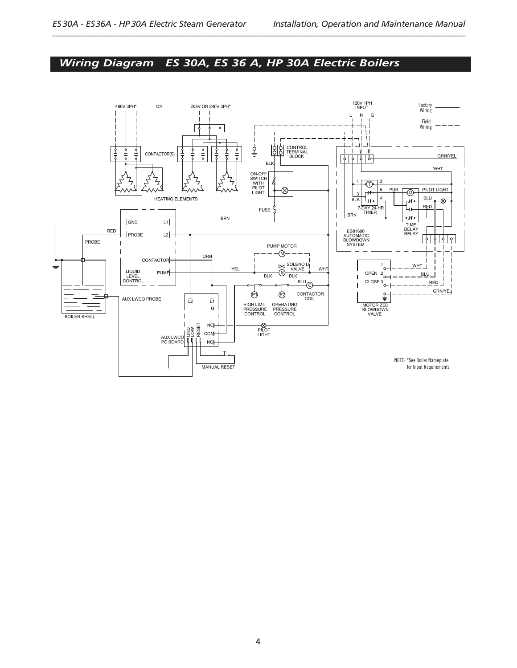# *Wiring Diagram ES 30A, ES 36 A, HP 30A Electric Boilers*

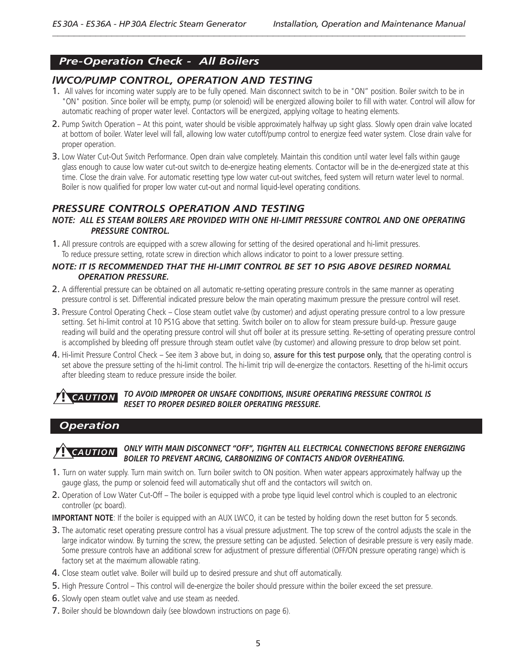# *Pre-Operation Check - All Boilers*

## *lWCO/PUMP CONTROL, OPERATION AND TESTING*

- 1. All valves for incoming water supply are to be fully opened. Main disconnect switch to be in "ON" position. Boiler switch to be in "ON" position. Since boiler will be empty, pump (or solenoid) will be energized allowing boiler to fill with water. Control will allow for automatic reaching of proper water level. Contactors will be energized, applying voltage to heating elements.
- 2. Pump Switch Operation At this point, water should be visible approximately halfway up sight glass. Slowly open drain valve located at bottom of boiler. Water level will fall, allowing low water cutoff/pump control to energize feed water system. Close drain valve for proper operation.
- 3. Low Water Cut-Out Switch Performance. Open drain valve completely. Maintain this condition until water level falls within gauge glass enough to cause low water cut-out switch to de-energize heating elements. Contactor will be in the de-energized state at this time. Close the drain valve. For automatic resetting type low water cut-out switches, feed system will return water level to normal. Boiler is now qualified for proper low water cut-out and normal liquid-level operating conditions.

# *PRESSURE CONTROLS OPERATION AND TESTING*

#### *NOTE: ALL ES STEAM BOILERS ARE PROVIDED WITH ONE HI-LIMIT PRESSURE CONTROL AND ONE OPERATING PRESSURE CONTROL.*

1. All pressure controls are equipped with a screw allowing for setting of the desired operational and hi-limit pressures. To reduce pressure setting, rotate screw in direction which allows indicator to point to a lower pressure setting.

#### *NOTE: IT IS RECOMMENDED THAT THE HI-LIMIT CONTROL BE SET 1O PSIG ABOVE DESIRED NORMAL OPERATION PRESSURE.*

- 2. A differential pressure can be obtained on all automatic re-setting operating pressure controls in the same manner as operating pressure control is set. Differential indicated pressure below the main operating maximum pressure the pressure control will reset.
- 3. Pressure Control Operating Check Close steam outlet valve (by customer) and adjust operating pressure control to a low pressure setting. Set hi-limit control at 10 PS1G above that setting. Switch boiler on to allow for steam pressure build-up. Pressure gauge reading will build and the operating pressure control will shut off boiler at its pressure setting. Re-setting of operating pressure control is accomplished by bleeding off pressure through steam outlet valve (by customer) and allowing pressure to drop below set point.
- 4. Hi-limit Pressure Control Check See item 3 above but, in doing so, assure for this test purpose only, that the operating control is set above the pressure setting of the hi-limit control. The hi-limit trip will de-energize the contactors. Resetting of the hi-limit occurs after bleeding steam to reduce pressure inside the boiler.

#### *TO AVOID IMPROPER OR UNSAFE CONDITIONS, INSURE OPERATING PRESSURE CONTROL IS RESET TO PROPER DESIRED BOILER OPERATING PRESSURE.* **!** *CAUTION*

#### *Operation*

#### *ONLY WITH MAIN DISCONNECT "OFF", TIGHTEN ALL ELECTRICAL CONNECTIONS BEFORE ENERGIZING BOILER TO PREVENT ARCING, CARBONIZING OF CONTACTS AND/OR OVERHEATING.* **!** *CAUTION*

- 1. Turn on water supply. Turn main switch on. Turn boiler switch to ON position. When water appears approximately halfway up the gauge glass, the pump or solenoid feed will automatically shut off and the contactors will switch on.
- 2. Operation of Low Water Cut-Off The boiler is equipped with a probe type liquid level control which is coupled to an electronic controller (pc board).

**IMPORTANT NOTE:** If the boiler is equipped with an AUX LWCO, it can be tested by holding down the reset button for 5 seconds.

- 3. The automatic reset operating pressure control has a visual pressure adjustment. The top screw of the control adjusts the scale in the large indicator window. By turning the screw, the pressure setting can be adjusted. Selection of desirable pressure is very easily made. Some pressure controls have an additional screw for adjustment of pressure differential (OFF/ON pressure operating range) which is factory set at the maximum allowable rating.
- 4. Close steam outlet valve. Boiler will build up to desired pressure and shut off automatically.
- 5. High Pressure Control This control will de-energize the boiler should pressure within the boiler exceed the set pressure.
- 6. Slowly open steam outlet valve and use steam as needed.
- 7. Boiler should be blowndown daily (see blowdown instructions on page 6).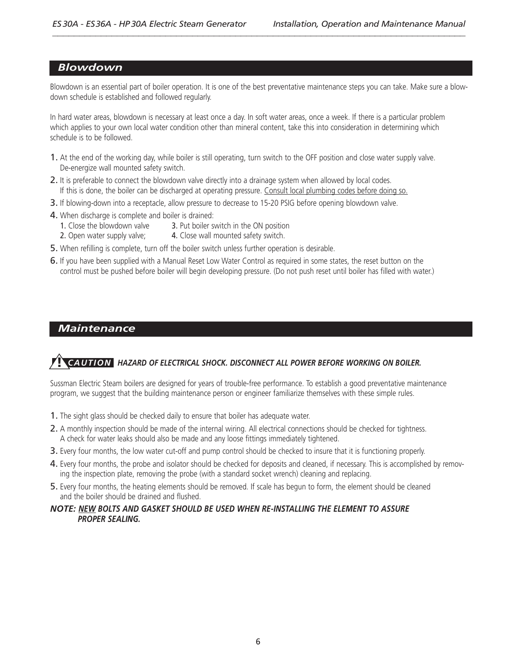#### *Blowdown*

Blowdown is an essential part of boiler operation. It is one of the best preventative maintenance steps you can take. Make sure a blowdown schedule is established and followed regularly.

In hard water areas, blowdown is necessary at least once a day. In soft water areas, once a week. If there is a particular problem which applies to your own local water condition other than mineral content, take this into consideration in determining which schedule is to be followed.

- 1. At the end of the working day, while boiler is still operating, turn switch to the OFF position and close water supply valve. De-energize wall mounted safety switch.
- 2. It is preferable to connect the blowdown valve directly into a drainage system when allowed by local codes. If this is done, the boiler can be discharged at operating pressure. Consult local plumbing codes before doing so.
- 3. If blowing-down into a receptacle, allow pressure to decrease to 15-20 PSIG before opening blowdown valve.
- 4. When discharge is complete and boiler is drained:
	- 1. Close the blowdown valve 3. Put boiler switch in the ON position
	- 2. Open water supply valve; **4.** Close wall mounted safety switch.
- 5. When refilling is complete, turn off the boiler switch unless further operation is desirable.
- 6. If you have been supplied with a Manual Reset Low Water Control as required in some states, the reset button on the control must be pushed before boiler will begin developing pressure. (Do not push reset until boiler has filled with water.)

#### *Maintenance*

# *HAZARD OF ELECTRICAL SHOCK. DISCONNECT ALL POWER BEFORE WORKING ON BOILER.* **!** *CAUTION*

Sussman Electric Steam boilers are designed for years of trouble-free performance. To establish a good preventative maintenance program, we suggest that the building maintenance person or engineer familiarize themselves with these simple rules.

- 1. The sight glass should be checked daily to ensure that boiler has adequate water.
- 2. A monthly inspection should be made of the internal wiring. All electrical connections should be checked for tightness. A check for water leaks should also be made and any loose fittings immediately tightened.
- 3. Every four months, the low water cut-off and pump control should be checked to insure that it is functioning properly.
- 4. Every four months, the probe and isolator should be checked for deposits and cleaned, if necessary. This is accomplished by removing the inspection plate, removing the probe (with a standard socket wrench) cleaning and replacing.
- 5. Every four months, the heating elements should be removed. If scale has begun to form, the element should be cleaned and the boiler should be drained and flushed.

#### *NOTE: NEW BOLTS AND GASKET SHOULD BE USED WHEN RE-INSTALLING THE ELEMENT TO ASSURE PROPER SEALING.*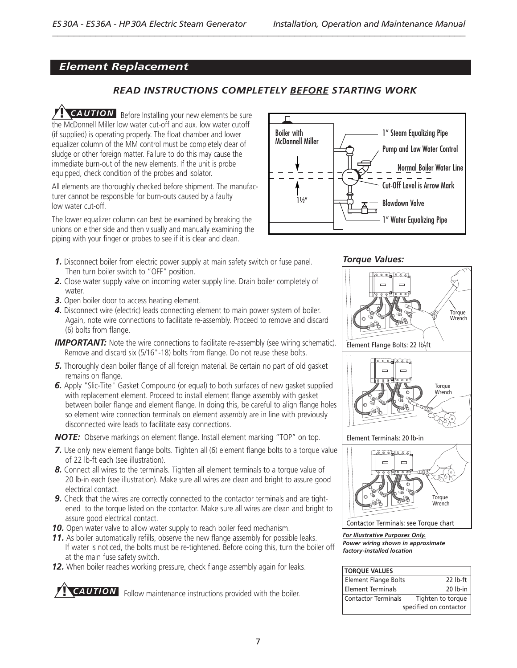# *Element Replacement*

# *READ INSTRUCTIONS COMPLETELY BEFORE STARTING WORK*

Before Installing your new elements be sure **!** *CAUTION* the McDonnell Miller low water cut-off and aux. low water cutoff (if supplied) is operating properly. The float chamber and lower equalizer column of the MM control must be completely clear of sludge or other foreign matter. Failure to do this may cause the immediate burn-out of the new elements. If the unit is probe equipped, check condition of the probes and isolator.

All elements are thoroughly checked before shipment. The manufacturer cannot be responsible for burn-outs caused by a faulty low water cut-off.

The lower equalizer column can best be examined by breaking the unions on either side and then visually and manually examining the piping with your finger or probes to see if it is clear and clean.

- *1.* Disconnect boiler from electric power supply at main safety switch or fuse panel. Then turn boiler switch to "OFF" position.
- **2.** Close water supply valve on incoming water supply line. Drain boiler completely of water.
- **3.** Open boiler door to access heating element.
- *4.* Disconnect wire (electric) leads connecting element to main power system of boiler. Again, note wire connections to facilitate re-assembly. Proceed to remove and discard (6) bolts from flange.
- **IMPORTANT:** Note the wire connections to facilitate re-assembly (see wiring schematic). Remove and discard six (5/16"-18) bolts from flange. Do not reuse these bolts.
- *5.* Thoroughly clean boiler flange of all foreign material. Be certain no part of old gasket remains on flange.
- *6.* Apply "Slic-Tite" Gasket Compound (or equal) to both surfaces of new gasket supplied with replacement element. Proceed to install element flange assembly with gasket between boiler flange and element flange. In doing this, be careful to align flange holes so element wire connection terminals on element assembly are in line with previously disconnected wire leads to facilitate easy connections.

*NOTE:* Observe markings on element flange. Install element marking "TOP" on top.

- **7.** Use only new element flange bolts. Tighten all (6) element flange bolts to a torque value of 22 lb-ft each (see illustration).
- **8.** Connect all wires to the terminals. Tighten all element terminals to a torque value of 20 lb-in each (see illustration). Make sure all wires are clean and bright to assure good electrical contact.
- **9.** Check that the wires are correctly connected to the contactor terminals and are tightened to the torque listed on the contactor. Make sure all wires are clean and bright to assure good electrical contact.
- **10.** Open water valve to allow water supply to reach boiler feed mechanism.
- **11.** As boiler automatically refills, observe the new flange assembly for possible leaks. If water is noticed, the bolts must be re-tightened. Before doing this, turn the boiler off at the main fuse safety switch.
- **12.** When boiler reaches working pressure, check flange assembly again for leaks.

Follow maintenance instructions provided with the boiler. **!** *CAUTION*



*Torque Values:*





*For Illustrative Purposes Only. Power wiring shown in approximate factory-installed location*

| <b>TORQUE VALUES</b>        |                        |
|-----------------------------|------------------------|
| <b>Element Flange Bolts</b> | 22 lb-ft               |
| <b>Element Terminals</b>    | 20 lb-in               |
| Contactor Terminals         | Tighten to torque      |
|                             | specified on contactor |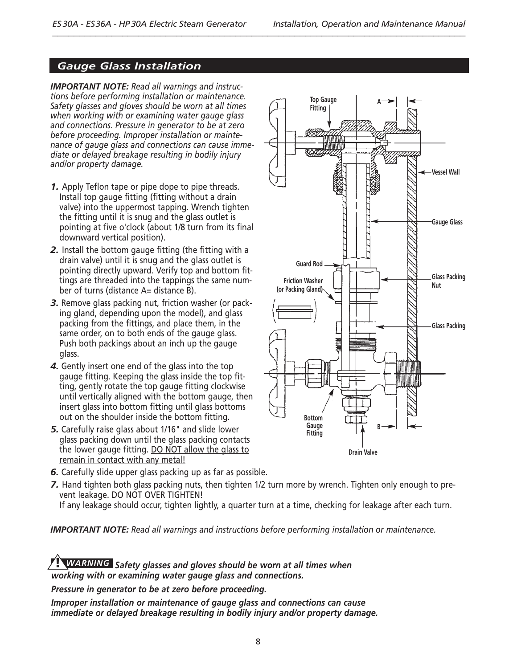# *Gauge Glass Installation*

*IMPORTANT NOTE: Read all warnings and instructions before performing installation or maintenance. Safety glasses and gloves should be worn at all times when working with or examining water gauge glass and connections. Pressure in generator to be at zero before proceeding. Improper installation or maintenance of gauge glass and connections can cause immediate or delayed breakage resulting in bodily injury and/or property damage.*

- *1.* Apply Teflon tape or pipe dope to pipe threads. Install top gauge fitting (fitting without a drain valve) into the uppermost tapping. Wrench tighten the fitting until it is snug and the glass outlet is pointing at five o'clock (about 1/8 turn from its final downward vertical position).
- *2.* Install the bottom gauge fitting (the fitting with a drain valve) until it is snug and the glass outlet is pointing directly upward. Verify top and bottom fittings are threaded into the tappings the same number of turns (distance A= distance B).
- *3.* Remove glass packing nut, friction washer (or packing gland, depending upon the model), and glass packing from the fittings, and place them, in the same order, on to both ends of the gauge glass. Push both packings about an inch up the gauge glass.
- *4.* Gently insert one end of the glass into the top gauge fitting. Keeping the glass inside the top fitting, gently rotate the top gauge fitting clockwise until vertically aligned with the bottom gauge, then insert glass into bottom fitting until glass bottoms out on the shoulder inside the bottom fitting.
- *5.* Carefully raise glass about 1/16" and slide lower glass packing down until the glass packing contacts the lower gauge fitting. DO NOT allow the glass to remain in contact with any metal!
- *6.* Carefully slide upper glass packing up as far as possible.
- *7.* Hand tighten both glass packing nuts, then tighten 1/2 turn more by wrench. Tighten only enough to prevent leakage. DO NOT OVER TIGHTEN!
	- If any leakage should occur, tighten lightly, a quarter turn at a time, checking for leakage after each turn.

*IMPORTANT NOTE: Read all warnings and instructions before performing installation or maintenance.*

*Safety glasses and gloves should be worn at all times when* **!** *WARNINGworking with or examining water gauge glass and connections.*

*Pressure in generator to be at zero before proceeding.*

*Improper installation or maintenance of gauge glass and connections can cause immediate or delayed breakage resulting in bodily injury and/or property damage.*

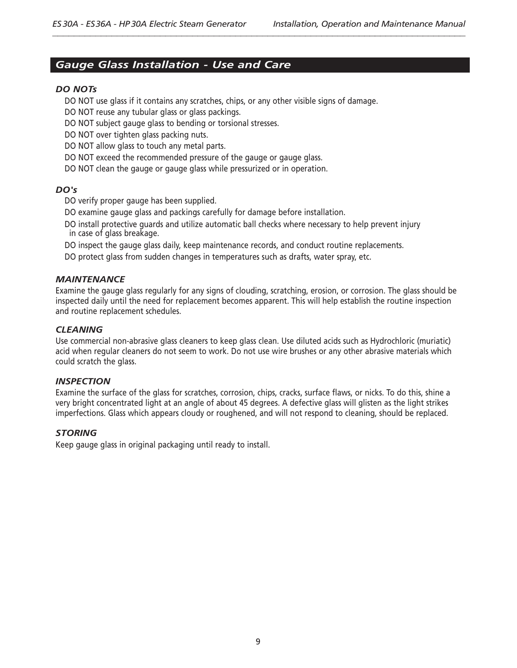# *Gauge Glass Installation - Use and Care*

#### *DO NOTs*

DO NOT use glass if it contains any scratches, chips, or any other visible signs of damage.

- DO NOT reuse any tubular glass or glass packings.
- DO NOT subject gauge glass to bending or torsional stresses.
- DO NOT over tighten glass packing nuts.
- DO NOT allow glass to touch any metal parts.
- DO NOT exceed the recommended pressure of the gauge or gauge glass.
- DO NOT clean the gauge or gauge glass while pressurized or in operation.

#### *DO's*

- DO verify proper gauge has been supplied.
- DO examine gauge glass and packings carefully for damage before installation.
- DO install protective guards and utilize automatic ball checks where necessary to help prevent injury in case of glass breakage.
- DO inspect the gauge glass daily, keep maintenance records, and conduct routine replacements.
- DO protect glass from sudden changes in temperatures such as drafts, water spray, etc.

#### *MAINTENANCE*

Examine the gauge glass regularly for any signs of clouding, scratching, erosion, or corrosion. The glass should be inspected daily until the need for replacement becomes apparent. This will help establish the routine inspection and routine replacement schedules.

#### *CLEANING*

Use commercial non-abrasive glass cleaners to keep glass clean. Use diluted acids such as Hydrochloric (muriatic) acid when regular cleaners do not seem to work. Do not use wire brushes or any other abrasive materials which could scratch the glass.

#### *INSPECTION*

Examine the surface of the glass for scratches, corrosion, chips, cracks, surface flaws, or nicks. To do this, shine a very bright concentrated light at an angle of about 45 degrees. A defective glass will glisten as the light strikes imperfections. Glass which appears cloudy or roughened, and will not respond to cleaning, should be replaced.

#### *STORING*

Keep gauge glass in original packaging until ready to install.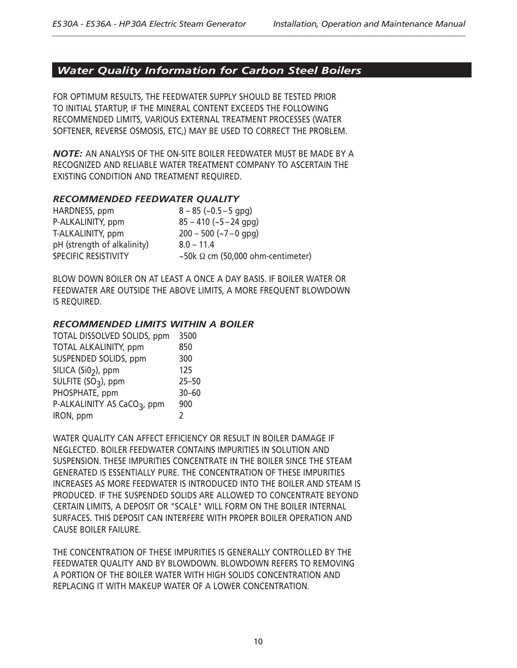# *Water Quality Information for Carbon Steel Boilers*

FOR OPTIMUM RESULTS, THE FEEDWATER SUPPLY SHOULD BE TESTED PRIOR TO INITIAL STARTUP, IF THE MINERAL CONTENT EXCEEDS THE FOLLOWING RECOMMENDED LIMITS, VARIOUS EXTERNAL TREATMENT PROCESSES (WATER SOFTENER, REVERSE OSMOSIS, ETC,) MAY BE USED TO CORRECT THE PROBLEM.

*NOTE:* AN ANALYSIS OF THE ON-SITE BOILER FEEDWATER MUST BE MADE BY A RECOGNIZED AND RELIABLE WATER TREATMENT COMPANY TO ASCERTAIN THE EXISTING CONDITION AND TREATMENT REQUIRED.

#### *RECOMMENDED FEEDWATER QUALITY*

| HARDNESS, ppm               | $8 - 85$ (~0.5 - 5 gpg)                        |
|-----------------------------|------------------------------------------------|
| P-ALKALINITY, ppm           | $85 - 410$ (~5 - 24 gpg)                       |
| T-ALKALINITY, ppm           | $200 - 500$ (~7 – 0 qpq)                       |
| pH (strength of alkalinity) | $8.0 - 11.4$                                   |
| SPECIFIC RESISTIVITY        | $\sim$ 50k $\Omega$ cm (50,000 ohm-centimeter) |

BLOW DOWN BOILER ON AT LEAST A ONCE A DAY BASIS. IF BOILER WATER OR FEEDWATER ARE OUTSIDE THE ABOVE LIMITS, A MORE FREQUENT BLOWDOWN IS REQUIRED.

#### *RECOMMENDED LIMITS WITHIN A BOILER*

| 3500          |
|---------------|
| 850           |
| 300           |
| 125           |
| $25 - 50$     |
| $30 - 60$     |
| 900           |
| $\mathcal{P}$ |
|               |

WATER QUALITY CAN AFFECT EFFICIENCY OR RESULT IN BOILER DAMAGE IF NEGLECTED. BOILER FEEDWATER CONTAINS IMPURITIES IN SOLUTION AND SUSPENSION. THESE IMPURITIES CONCENTRATE IN THE BOILER SINCE THE STEAM GENERATED IS ESSENTIALLY PURE. THE CONCENTRATION OF THESE IMPURITIES INCREASES AS MORE FEEDWATER IS INTRODUCED INTO THE BOILER AND STEAM IS PRODUCED. IF THE SUSPENDED SOLIDS ARE ALLOWED TO CONCENTRATE BEYOND CERTAIN LIMITS, A DEPOSIT OR "SCALE" WILL FORM ON THE BOILER INTERNAL SURFACES. THIS DEPOSIT CAN INTERFERE WITH PROPER BOILER OPERATION AND CAUSE BOILER FAILURE.

THE CONCENTRATION OF THESE IMPURITIES IS GENERALLY CONTROLLED BY THE FEEDWATER QUALITY AND BY BLOWDOWN. BLOWDOWN REFERS TO REMOVING A PORTION OF THE BOILER WATER WITH HIGH SOLIDS CONCENTRATION AND REPLACING IT WITH MAKEUP WATER OF A LOWER CONCENTRATION.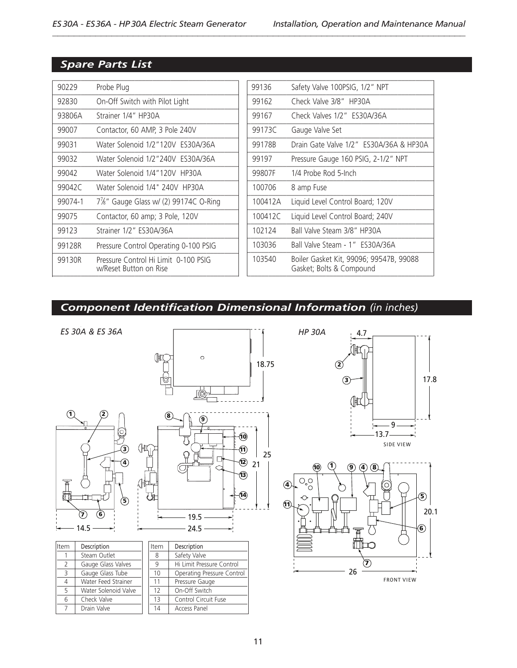# *Spare Parts List*

| 90229   | Probe Plug                                                     | 9 |
|---------|----------------------------------------------------------------|---|
| 92830   | On-Off Switch with Pilot Light                                 | 9 |
| 93806A  | Strainer 1/4" HP30A                                            | 9 |
| 99007   | Contactor, 60 AMP, 3 Pole 240V                                 | 9 |
| 99031   | Water Solenoid 1/2"120V ES30A/36A                              | 9 |
| 99032   | Water Solenoid 1/2"240V ES30A/36A                              | 9 |
| 99042   | Water Solenoid 1/4"120V HP30A                                  | 9 |
| 99042C  | Water Solenoid 1/4" 240V HP30A                                 | 1 |
| 99074-1 | 7%" Gauge Glass w/ (2) 99174C O-Ring                           | 1 |
| 99075   | Contactor, 60 amp; 3 Pole, 120V                                | 1 |
| 99123   | Strainer 1/2" ES30A/36A                                        | 1 |
| 99128R  | Pressure Control Operating 0-100 PSIG                          | 1 |
| 99130R  | Pressure Control Hi Limit 0-100 PSIG<br>w/Reset Button on Rise | 1 |
|         |                                                                |   |

| 99136   | Safety Valve 100PSIG, 1/2" NPT                                      |
|---------|---------------------------------------------------------------------|
| 99162   | Check Valve 3/8" HP30A                                              |
| 99167   | Check Valves 1/2" ES30A/36A                                         |
| 99173C  | Gauge Valve Set                                                     |
| 99178B  | Drain Gate Valve 1/2" ES30A/36A & HP30A                             |
| 99197   | Pressure Gauge 160 PSIG, 2-1/2" NPT                                 |
| 99807F  | 1/4 Probe Rod 5-Inch                                                |
| 100706  | 8 amp Fuse                                                          |
| 100412A | Liquid Level Control Board; 120V                                    |
| 100412C | Liquid Level Control Board; 240V                                    |
| 102124  | Ball Valve Steam 3/8" HP30A                                         |
| 103036  | Ball Valve Steam - 1" ES30A/36A                                     |
| 103540  | Boiler Gasket Kit, 99096; 99547B, 99088<br>Gasket; Bolts & Compound |

# *Component Identification Dimensional Information (in inches)*